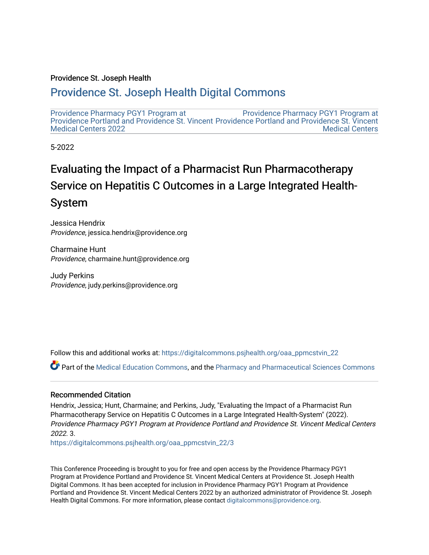#### Providence St. Joseph Health

#### [Providence St. Joseph Health Digital Commons](https://digitalcommons.psjhealth.org/)

[Providence Pharmacy PGY1 Program at](https://digitalcommons.psjhealth.org/oaa_ppmcstvin_22)  [Providence Portland and Providence St. Vincent](https://digitalcommons.psjhealth.org/oaa_ppmcstvin_22) [Providence Portland and Providence St. Vincent](https://digitalcommons.psjhealth.org/oaa_ppmcstvin)  [Medical Centers 2022](https://digitalcommons.psjhealth.org/oaa_ppmcstvin_22)  [Providence Pharmacy PGY1 Program at](https://digitalcommons.psjhealth.org/oaa_ppmcstvin)  [Medical Centers](https://digitalcommons.psjhealth.org/oaa_ppmcstvin) 

5-2022

#### Evaluating the Impact of a Pharmacist Run Pharmacotherapy Service on Hepatitis C Outcomes in a Large Integrated Health-System

Jessica Hendrix Providence, jessica.hendrix@providence.org

Charmaine Hunt Providence, charmaine.hunt@providence.org

Judy Perkins Providence, judy.perkins@providence.org

Follow this and additional works at: [https://digitalcommons.psjhealth.org/oaa\\_ppmcstvin\\_22](https://digitalcommons.psjhealth.org/oaa_ppmcstvin_22?utm_source=digitalcommons.psjhealth.org%2Foaa_ppmcstvin_22%2F3&utm_medium=PDF&utm_campaign=PDFCoverPages)

Part of the [Medical Education Commons,](http://network.bepress.com/hgg/discipline/1125?utm_source=digitalcommons.psjhealth.org%2Foaa_ppmcstvin_22%2F3&utm_medium=PDF&utm_campaign=PDFCoverPages) and the [Pharmacy and Pharmaceutical Sciences Commons](http://network.bepress.com/hgg/discipline/731?utm_source=digitalcommons.psjhealth.org%2Foaa_ppmcstvin_22%2F3&utm_medium=PDF&utm_campaign=PDFCoverPages)

#### Recommended Citation

Hendrix, Jessica; Hunt, Charmaine; and Perkins, Judy, "Evaluating the Impact of a Pharmacist Run Pharmacotherapy Service on Hepatitis C Outcomes in a Large Integrated Health-System" (2022). Providence Pharmacy PGY1 Program at Providence Portland and Providence St. Vincent Medical Centers 2022. 3.

[https://digitalcommons.psjhealth.org/oaa\\_ppmcstvin\\_22/3](https://digitalcommons.psjhealth.org/oaa_ppmcstvin_22/3?utm_source=digitalcommons.psjhealth.org%2Foaa_ppmcstvin_22%2F3&utm_medium=PDF&utm_campaign=PDFCoverPages) 

This Conference Proceeding is brought to you for free and open access by the Providence Pharmacy PGY1 Program at Providence Portland and Providence St. Vincent Medical Centers at Providence St. Joseph Health Digital Commons. It has been accepted for inclusion in Providence Pharmacy PGY1 Program at Providence Portland and Providence St. Vincent Medical Centers 2022 by an authorized administrator of Providence St. Joseph Health Digital Commons. For more information, please contact [digitalcommons@providence.org](mailto:digitalcommons@providence.org).